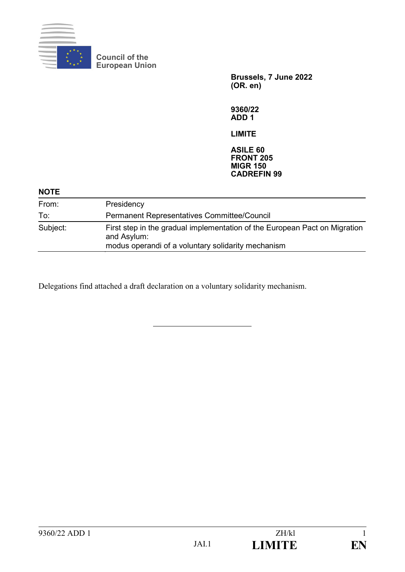

**Council of the European Union**

> **Brussels, 7 June 2022 (OR. en)**

**9360/22 ADD 1**

**LIMITE**

**ASILE 60 FRONT 205 MIGR 150 CADREFIN 99**

| <b>NOTE</b> |                                                                                                                                                 |
|-------------|-------------------------------------------------------------------------------------------------------------------------------------------------|
| From:       | Presidency                                                                                                                                      |
| To:         | <b>Permanent Representatives Committee/Council</b>                                                                                              |
| Subject:    | First step in the gradual implementation of the European Pact on Migration<br>and Asylum:<br>modus operandi of a voluntary solidarity mechanism |

Delegations find attached a draft declaration on a voluntary solidarity mechanism.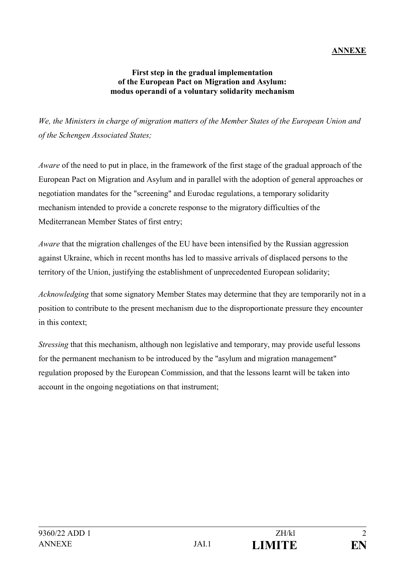## **ANNEXE**

## **First step in the gradual implementation of the European Pact on Migration and Asylum: modus operandi of a voluntary solidarity mechanism**

*We, the Ministers in charge of migration matters of the Member States of the European Union and of the Schengen Associated States;* 

*Aware* of the need to put in place, in the framework of the first stage of the gradual approach of the European Pact on Migration and Asylum and in parallel with the adoption of general approaches or negotiation mandates for the "screening" and Eurodac regulations, a temporary solidarity mechanism intended to provide a concrete response to the migratory difficulties of the Mediterranean Member States of first entry;

*Aware* that the migration challenges of the EU have been intensified by the Russian aggression against Ukraine, which in recent months has led to massive arrivals of displaced persons to the territory of the Union, justifying the establishment of unprecedented European solidarity;

*Acknowledging* that some signatory Member States may determine that they are temporarily not in a position to contribute to the present mechanism due to the disproportionate pressure they encounter in this context;

*Stressing* that this mechanism, although non legislative and temporary, may provide useful lessons for the permanent mechanism to be introduced by the "asylum and migration management" regulation proposed by the European Commission, and that the lessons learnt will be taken into account in the ongoing negotiations on that instrument;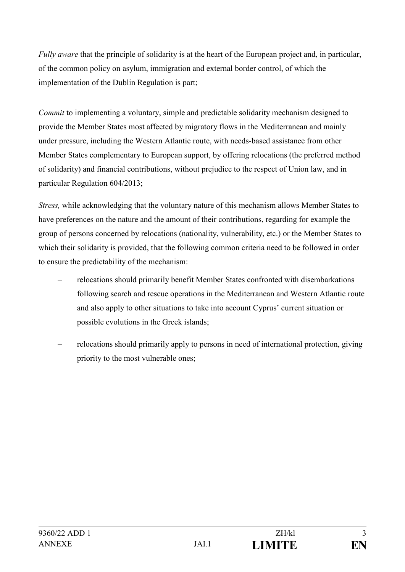*Fully aware* that the principle of solidarity is at the heart of the European project and, in particular, of the common policy on asylum, immigration and external border control, of which the implementation of the Dublin Regulation is part;

*Commit* to implementing a voluntary, simple and predictable solidarity mechanism designed to provide the Member States most affected by migratory flows in the Mediterranean and mainly under pressure, including the Western Atlantic route, with needs-based assistance from other Member States complementary to European support, by offering relocations (the preferred method of solidarity) and financial contributions, without prejudice to the respect of Union law, and in particular Regulation 604/2013;

*Stress,* while acknowledging that the voluntary nature of this mechanism allows Member States to have preferences on the nature and the amount of their contributions, regarding for example the group of persons concerned by relocations (nationality, vulnerability, etc.) or the Member States to which their solidarity is provided, that the following common criteria need to be followed in order to ensure the predictability of the mechanism:

- relocations should primarily benefit Member States confronted with disembarkations following search and rescue operations in the Mediterranean and Western Atlantic route and also apply to other situations to take into account Cyprus' current situation or possible evolutions in the Greek islands;
- relocations should primarily apply to persons in need of international protection, giving priority to the most vulnerable ones;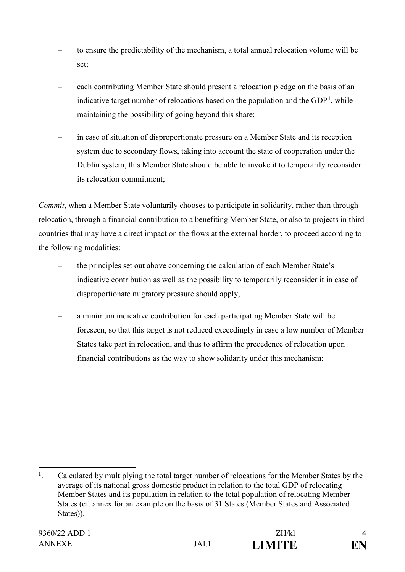- to ensure the predictability of the mechanism, a total annual relocation volume will be set;
- each contributing Member State should present a relocation pledge on the basis of an indicative target number of relocations based on the population and the GDP**<sup>1</sup>**, while maintaining the possibility of going beyond this share;
- in case of situation of disproportionate pressure on a Member State and its reception system due to secondary flows, taking into account the state of cooperation under the Dublin system, this Member State should be able to invoke it to temporarily reconsider its relocation commitment;

*Commit*, when a Member State voluntarily chooses to participate in solidarity, rather than through relocation, through a financial contribution to a benefiting Member State, or also to projects in third countries that may have a direct impact on the flows at the external border, to proceed according to the following modalities:

- the principles set out above concerning the calculation of each Member State's indicative contribution as well as the possibility to temporarily reconsider it in case of disproportionate migratory pressure should apply;
- a minimum indicative contribution for each participating Member State will be foreseen, so that this target is not reduced exceedingly in case a low number of Member States take part in relocation, and thus to affirm the precedence of relocation upon financial contributions as the way to show solidarity under this mechanism;

 $\mathbf{1}^-$ **<sup>1</sup>**. Calculated by multiplying the total target number of relocations for the Member States by the average of its national gross domestic product in relation to the total GDP of relocating Member States and its population in relation to the total population of relocating Member States (cf. annex for an example on the basis of 31 States (Member States and Associated States)).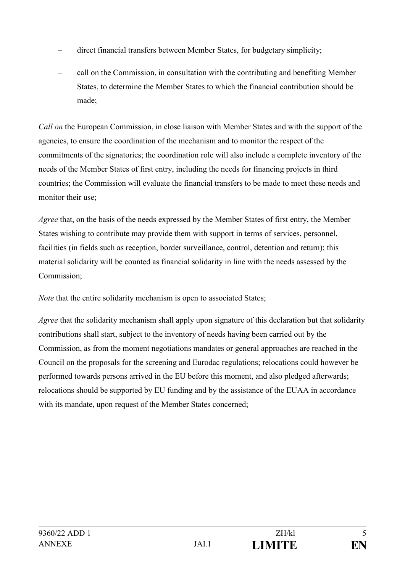- direct financial transfers between Member States, for budgetary simplicity;
- call on the Commission, in consultation with the contributing and benefiting Member States, to determine the Member States to which the financial contribution should be made;

*Call on* the European Commission, in close liaison with Member States and with the support of the agencies, to ensure the coordination of the mechanism and to monitor the respect of the commitments of the signatories; the coordination role will also include a complete inventory of the needs of the Member States of first entry, including the needs for financing projects in third countries; the Commission will evaluate the financial transfers to be made to meet these needs and monitor their use;

*Agree* that, on the basis of the needs expressed by the Member States of first entry, the Member States wishing to contribute may provide them with support in terms of services, personnel, facilities (in fields such as reception, border surveillance, control, detention and return); this material solidarity will be counted as financial solidarity in line with the needs assessed by the Commission;

*Note* that the entire solidarity mechanism is open to associated States;

*Agree* that the solidarity mechanism shall apply upon signature of this declaration but that solidarity contributions shall start, subject to the inventory of needs having been carried out by the Commission, as from the moment negotiations mandates or general approaches are reached in the Council on the proposals for the screening and Eurodac regulations; relocations could however be performed towards persons arrived in the EU before this moment, and also pledged afterwards; relocations should be supported by EU funding and by the assistance of the EUAA in accordance with its mandate, upon request of the Member States concerned;